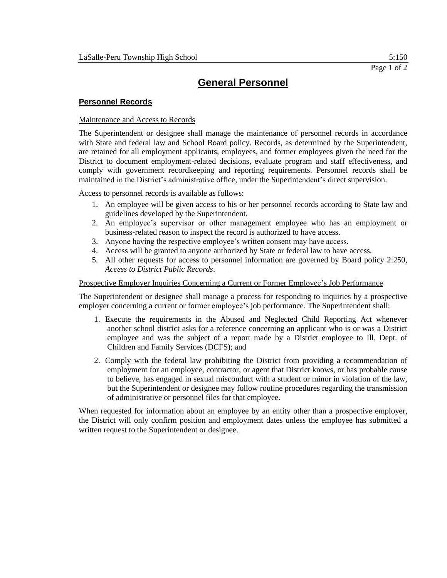# **General Personnel**

### **Personnel Records**

### Maintenance and Access to Records

The Superintendent or designee shall manage the maintenance of personnel records in accordance with State and federal law and School Board policy. Records, as determined by the Superintendent, are retained for all employment applicants, employees, and former employees given the need for the District to document employment-related decisions, evaluate program and staff effectiveness, and comply with government recordkeeping and reporting requirements. Personnel records shall be maintained in the District's administrative office, under the Superintendent's direct supervision.

Access to personnel records is available as follows:

- 1. An employee will be given access to his or her personnel records according to State law and guidelines developed by the Superintendent.
- 2. An employee's supervisor or other management employee who has an employment or business-related reason to inspect the record is authorized to have access.
- 3. Anyone having the respective employee's written consent may have access.
- 4. Access will be granted to anyone authorized by State or federal law to have access.
- 5. All other requests for access to personnel information are governed by Board policy 2:250, *Access to District Public Records*.

#### Prospective Employer Inquiries Concerning a Current or Former Employee's Job Performance

The Superintendent or designee shall manage a process for responding to inquiries by a prospective employer concerning a current or former employee's job performance. The Superintendent shall:

- 1. Execute the requirements in the Abused and Neglected Child Reporting Act whenever another school district asks for a reference concerning an applicant who is or was a District employee and was the subject of a report made by a District employee to Ill. Dept. of Children and Family Services (DCFS); and
- 2. Comply with the federal law prohibiting the District from providing a recommendation of employment for an employee, contractor, or agent that District knows, or has probable cause to believe, has engaged in sexual misconduct with a student or minor in violation of the law, but the Superintendent or designee may follow routine procedures regarding the transmission of administrative or personnel files for that employee.

When requested for information about an employee by an entity other than a prospective employer, the District will only confirm position and employment dates unless the employee has submitted a written request to the Superintendent or designee.